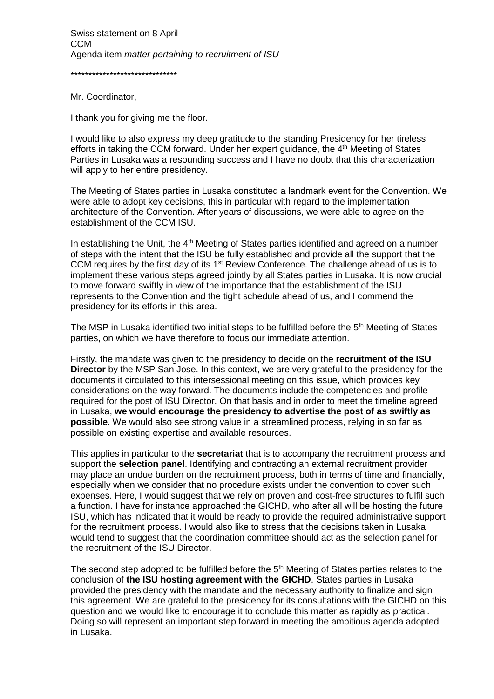\*\*\*\*\*\*\*\*\*\*\*\*\*\*\*\*\*\*\*\*\*\*\*\*\*\*\*\*\*\*

Mr. Coordinator,

I thank you for giving me the floor.

I would like to also express my deep gratitude to the standing Presidency for her tireless efforts in taking the CCM forward. Under her expert guidance, the 4<sup>th</sup> Meeting of States Parties in Lusaka was a resounding success and I have no doubt that this characterization will apply to her entire presidency.

The Meeting of States parties in Lusaka constituted a landmark event for the Convention. We were able to adopt key decisions, this in particular with regard to the implementation architecture of the Convention. After years of discussions, we were able to agree on the establishment of the CCM ISU.

In establishing the Unit, the  $4<sup>th</sup>$  Meeting of States parties identified and agreed on a number of steps with the intent that the ISU be fully established and provide all the support that the CCM requires by the first day of its  $1<sup>st</sup>$  Review Conference. The challenge ahead of us is to implement these various steps agreed jointly by all States parties in Lusaka. It is now crucial to move forward swiftly in view of the importance that the establishment of the ISU represents to the Convention and the tight schedule ahead of us, and I commend the presidency for its efforts in this area.

The MSP in Lusaka identified two initial steps to be fulfilled before the  $5<sup>th</sup>$  Meeting of States parties, on which we have therefore to focus our immediate attention.

Firstly, the mandate was given to the presidency to decide on the **recruitment of the ISU Director** by the MSP San Jose. In this context, we are very grateful to the presidency for the documents it circulated to this intersessional meeting on this issue, which provides key considerations on the way forward. The documents include the competencies and profile required for the post of ISU Director. On that basis and in order to meet the timeline agreed in Lusaka, **we would encourage the presidency to advertise the post of as swiftly as possible**. We would also see strong value in a streamlined process, relying in so far as possible on existing expertise and available resources.

This applies in particular to the **secretariat** that is to accompany the recruitment process and support the **selection panel**. Identifying and contracting an external recruitment provider may place an undue burden on the recruitment process, both in terms of time and financially, especially when we consider that no procedure exists under the convention to cover such expenses. Here, I would suggest that we rely on proven and cost-free structures to fulfil such a function. I have for instance approached the GICHD, who after all will be hosting the future ISU, which has indicated that it would be ready to provide the required administrative support for the recruitment process. I would also like to stress that the decisions taken in Lusaka would tend to suggest that the coordination committee should act as the selection panel for the recruitment of the ISU Director.

The second step adopted to be fulfilled before the  $5<sup>th</sup>$  Meeting of States parties relates to the conclusion of **the ISU hosting agreement with the GICHD**. States parties in Lusaka provided the presidency with the mandate and the necessary authority to finalize and sign this agreement. We are grateful to the presidency for its consultations with the GICHD on this question and we would like to encourage it to conclude this matter as rapidly as practical. Doing so will represent an important step forward in meeting the ambitious agenda adopted in Lusaka.